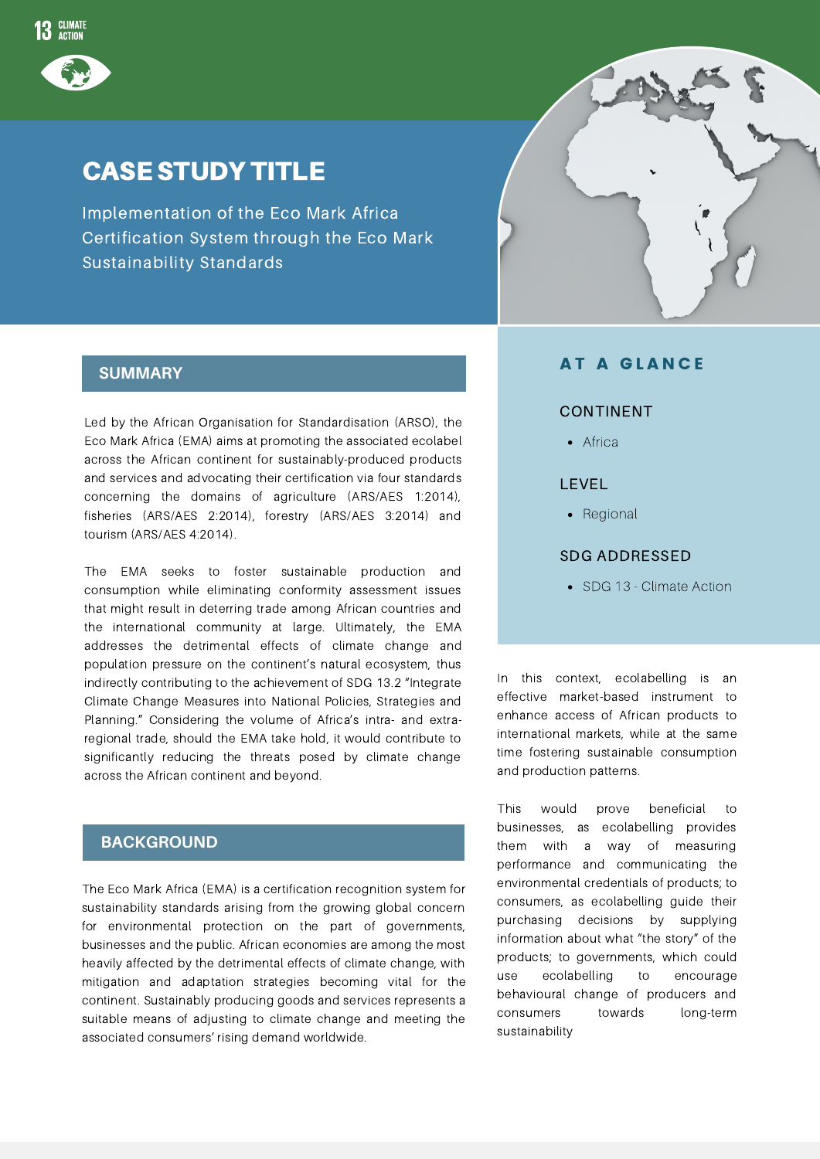

# CASE STUDY TITLE

Implementation of the Eco Mark Africa Certification System through the Eco Mark Sustainability Standards

### **SUMMARY**

Led by the African Organisation for Standardisation (ARSO), the Eco Mark Africa (EMA) aims at promoting the associated ecolabel across the African continent for sustainably-produced products and services and advocating their certification via four standards concerning the domains of agriculture (ARS/AES 1:2014), fisheries (ARS/AES 2:2014), forestry (ARS/AES 3:2014) and tourism (ARS/AES 4:2014).

The EMA seeks to foster sustainable production and consumption while eliminating conformity assessment issues that might result in deterring trade among African countries and the international community at large. Ultimately, the EMA addresses the detrimental effects of climate change and population pressure on the continent's natural ecosystem, thus indirectly contributing to the achievement of SDG 13.2 "Integrate Climate Change Measures into National Policies, Strategies and Planning." Considering the volume of Africa's intra- and extraregional trade, should the EMA take hold, it would contribute to significantly reducing the threats posed by climate change across the African continent and beyond.

### **BACKGROUND**

The Eco Mark Africa (EMA) is a certification recognition system for sustainability standards arising from the growing global concern for environmental protection on the part of governments, businesses and the public. African economies are among the most heavily affected by the detrimental effects of climate change, with mitigation and adaptation strategies becoming vital for the continent. Sustainably producing goods and services represents a suitable means of adjusting to climate change and meeting the associated consumers' rising demand worldwide.



#### **AT A GLANCE**

#### CONTINENT

• Africa

#### LEVEL

• Regional

#### SDG ADDRESSED

• SDG 13 - Climate Action

In this context, ecolabelling is an effective market-based instrument to enhance access of African products to international markets, while at the same time fostering sustainable consumption and production patterns.

This would prove beneficial to businesses, as ecolabelling provides them with a way of measuring performance and communicating the environmental credentials of products; to consumers, as ecolabelling guide their purchasing decisions by supplying information about what "the story" of the products; to governments, which could use ecolabelling to encourage behavioural change of producers and consumers towards long-term sustainability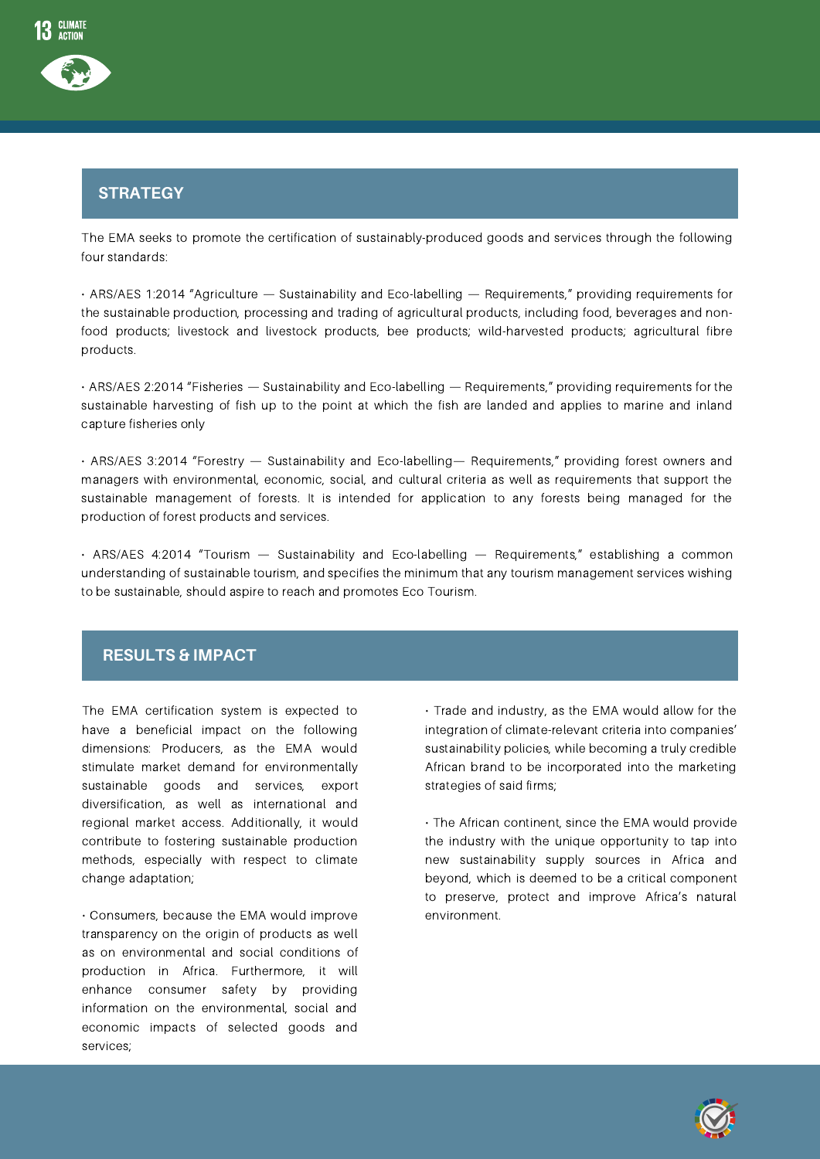

# Strategy **STRATEGY**

The EMA seeks to promote the certification of sustainably-produced goods and services through the following four standards:

• ARS/AES 1:2014 "Agriculture — Sustainability and Eco-labelling — Requirements," providing requirements for the sustainable production, processing and trading of agricultural products, including food, beverages and nonfood products; livestock and livestock products, bee products; wild-harvested products; agricultural fibre products.

• ARS/AES 2:2014 "Fisheries — Sustainability and Eco-labelling — Requirements," providing requirements for the sustainable harvesting of fish up to the point at which the fish are landed and applies to marine and inland capture fisheries only

• ARS/AES 3:2014 "Forestry — Sustainability and Eco-labelling— Requirements," providing forest owners and managers with environmental, economic, social, and cultural criteria as well as requirements that support the sustainable management of forests. It is intended for application to any forests being managed for the production of forest products and services.

• ARS/AES 4:2014 "Tourism — Sustainability and Eco-labelling — Requirements," establishing a common understanding of sustainable tourism, and specifies the minimum that any tourism management services wishing to be sustainable, should aspire to reach and promotes Eco Tourism.

## **RESULTS & IMPACT**

The EMA certification system is expected to have a beneficial impact on the following dimensions: Producers, as the EMA would stimulate market demand for environmentally sustainable goods and services, export diversification, as well as international and regional market access. Additionally, it would contribute to fostering sustainable production methods, especially with respect to climate change adaptation;

• Consumers, because the EMA would improve transparency on the origin of products as well as on environmental and social conditions of production in Africa. Furthermore, it will enhance consumer safety by providing information on the environmental, social and economic impacts of selected goods and services;

• Trade and industry, as the EMA would allow for the integration of climate-relevant criteria into companies' sustainability policies, while becoming a truly credible African brand to be incorporated into the marketing strategies of said firms;

• The African continent, since the EMA would provide the industry with the unique opportunity to tap into new sustainability supply sources in Africa and beyond, which is deemed to be a critical component to preserve, protect and improve Africa's natural environment.